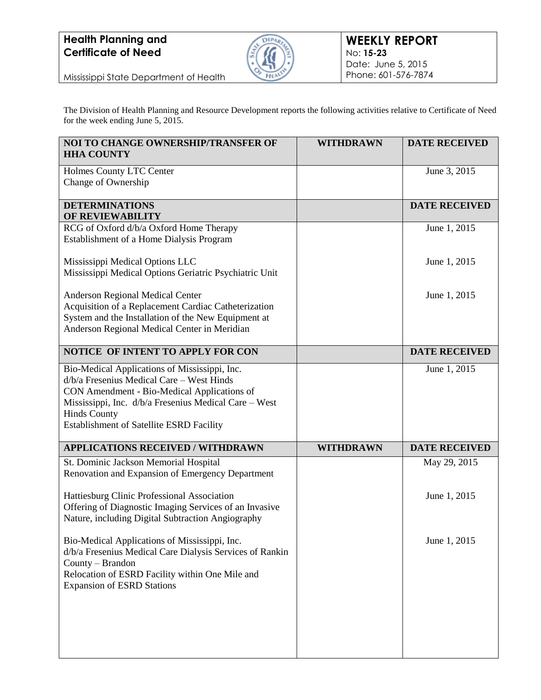

Mississippi State Department of Health

The Division of Health Planning and Resource Development reports the following activities relative to Certificate of Need for the week ending June 5, 2015.

| NOI TO CHANGE OWNERSHIP/TRANSFER OF<br><b>HHA COUNTY</b>                                                                                                                                                                                                                | <b>WITHDRAWN</b> | <b>DATE RECEIVED</b> |
|-------------------------------------------------------------------------------------------------------------------------------------------------------------------------------------------------------------------------------------------------------------------------|------------------|----------------------|
| Holmes County LTC Center<br>Change of Ownership                                                                                                                                                                                                                         |                  | June 3, 2015         |
| <b>DETERMINATIONS</b><br>OF REVIEWABILITY                                                                                                                                                                                                                               |                  | <b>DATE RECEIVED</b> |
| RCG of Oxford d/b/a Oxford Home Therapy<br>Establishment of a Home Dialysis Program                                                                                                                                                                                     |                  | June 1, 2015         |
| Mississippi Medical Options LLC<br>Mississippi Medical Options Geriatric Psychiatric Unit                                                                                                                                                                               |                  | June 1, 2015         |
| Anderson Regional Medical Center<br>Acquisition of a Replacement Cardiac Catheterization<br>System and the Installation of the New Equipment at<br>Anderson Regional Medical Center in Meridian                                                                         |                  | June 1, 2015         |
| NOTICE OF INTENT TO APPLY FOR CON                                                                                                                                                                                                                                       |                  | <b>DATE RECEIVED</b> |
| Bio-Medical Applications of Mississippi, Inc.<br>$d/b/a$ Fresenius Medical Care – West Hinds<br>CON Amendment - Bio-Medical Applications of<br>Mississippi, Inc. d/b/a Fresenius Medical Care - West<br><b>Hinds County</b><br>Establishment of Satellite ESRD Facility |                  | June 1, 2015         |
| <b>APPLICATIONS RECEIVED / WITHDRAWN</b>                                                                                                                                                                                                                                | <b>WITHDRAWN</b> | <b>DATE RECEIVED</b> |
| St. Dominic Jackson Memorial Hospital<br>Renovation and Expansion of Emergency Department                                                                                                                                                                               |                  | May 29, 2015         |
| Hattiesburg Clinic Professional Association<br>Offering of Diagnostic Imaging Services of an Invasive<br>Nature, including Digital Subtraction Angiography                                                                                                              |                  | June 1, 2015         |
| Bio-Medical Applications of Mississippi, Inc.<br>d/b/a Fresenius Medical Care Dialysis Services of Rankin<br>County – Brandon<br>Relocation of ESRD Facility within One Mile and<br><b>Expansion of ESRD Stations</b>                                                   |                  | June 1, 2015         |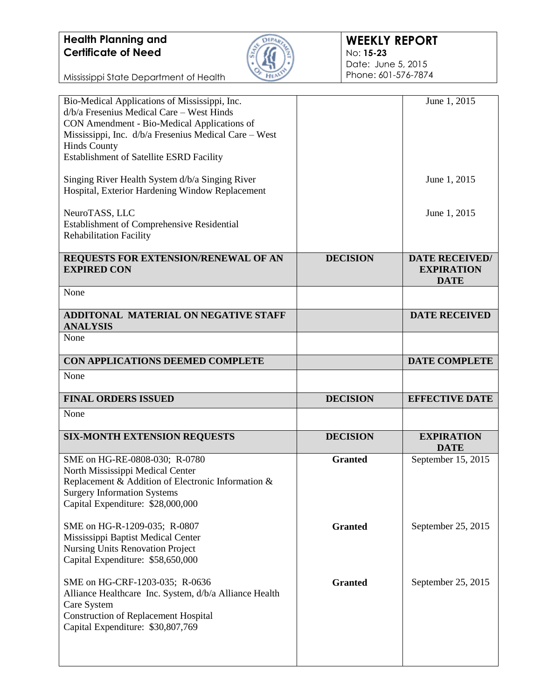

| Bio-Medical Applications of Mississippi, Inc.<br>d/b/a Fresenius Medical Care – West Hinds<br>CON Amendment - Bio-Medical Applications of<br>Mississippi, Inc. d/b/a Fresenius Medical Care - West<br><b>Hinds County</b><br>Establishment of Satellite ESRD Facility<br>Singing River Health System d/b/a Singing River<br>Hospital, Exterior Hardening Window Replacement<br>NeuroTASS, LLC<br>Establishment of Comprehensive Residential<br><b>Rehabilitation Facility</b> |                 | June 1, 2015<br>June 1, 2015<br>June 1, 2015              |
|-------------------------------------------------------------------------------------------------------------------------------------------------------------------------------------------------------------------------------------------------------------------------------------------------------------------------------------------------------------------------------------------------------------------------------------------------------------------------------|-----------------|-----------------------------------------------------------|
| REQUESTS FOR EXTENSION/RENEWAL OF AN<br><b>EXPIRED CON</b>                                                                                                                                                                                                                                                                                                                                                                                                                    | <b>DECISION</b> | <b>DATE RECEIVED/</b><br><b>EXPIRATION</b><br><b>DATE</b> |
| None                                                                                                                                                                                                                                                                                                                                                                                                                                                                          |                 |                                                           |
| <b>ADDITONAL MATERIAL ON NEGATIVE STAFF</b><br><b>ANALYSIS</b>                                                                                                                                                                                                                                                                                                                                                                                                                |                 | <b>DATE RECEIVED</b>                                      |
| None                                                                                                                                                                                                                                                                                                                                                                                                                                                                          |                 |                                                           |
| CON APPLICATIONS DEEMED COMPLETE                                                                                                                                                                                                                                                                                                                                                                                                                                              |                 | <b>DATE COMPLETE</b>                                      |
| None                                                                                                                                                                                                                                                                                                                                                                                                                                                                          |                 |                                                           |
|                                                                                                                                                                                                                                                                                                                                                                                                                                                                               |                 |                                                           |
| <b>FINAL ORDERS ISSUED</b>                                                                                                                                                                                                                                                                                                                                                                                                                                                    | <b>DECISION</b> | <b>EFFECTIVE DATE</b>                                     |
| None                                                                                                                                                                                                                                                                                                                                                                                                                                                                          |                 |                                                           |
| <b>SIX-MONTH EXTENSION REQUESTS</b>                                                                                                                                                                                                                                                                                                                                                                                                                                           | <b>DECISION</b> | <b>EXPIRATION</b><br><b>DATE</b>                          |
| SME on HG-RE-0808-030; R-0780<br>North Mississippi Medical Center<br>Replacement & Addition of Electronic Information &<br><b>Surgery Information Systems</b><br>Capital Expenditure: \$28,000,000                                                                                                                                                                                                                                                                            | <b>Granted</b>  | September 15, 2015                                        |
| SME on HG-R-1209-035; R-0807<br>Mississippi Baptist Medical Center<br><b>Nursing Units Renovation Project</b><br>Capital Expenditure: \$58,650,000                                                                                                                                                                                                                                                                                                                            | <b>Granted</b>  | September 25, 2015                                        |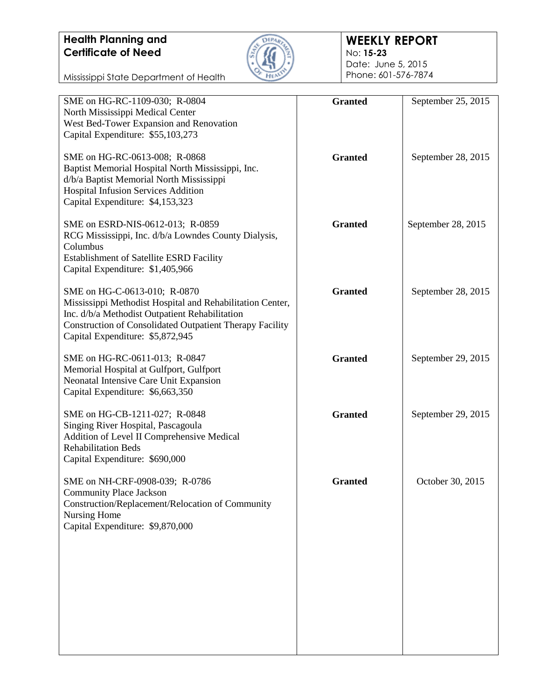Mississippi State Department of Health



#### **WEEKLY REPORT** No: **15-23**

Date: June 5, 2015 Phone: 601-576-7874

| SME on HG-RC-1109-030; R-0804                                                                               | <b>Granted</b> | September 25, 2015 |
|-------------------------------------------------------------------------------------------------------------|----------------|--------------------|
| North Mississippi Medical Center                                                                            |                |                    |
| West Bed-Tower Expansion and Renovation<br>Capital Expenditure: \$55,103,273                                |                |                    |
| SME on HG-RC-0613-008; R-0868<br>Baptist Memorial Hospital North Mississippi, Inc.                          | <b>Granted</b> | September 28, 2015 |
| d/b/a Baptist Memorial North Mississippi                                                                    |                |                    |
| <b>Hospital Infusion Services Addition</b><br>Capital Expenditure: \$4,153,323                              |                |                    |
| SME on ESRD-NIS-0612-013; R-0859                                                                            | <b>Granted</b> | September 28, 2015 |
| RCG Mississippi, Inc. d/b/a Lowndes County Dialysis,<br>Columbus                                            |                |                    |
| <b>Establishment of Satellite ESRD Facility</b>                                                             |                |                    |
| Capital Expenditure: \$1,405,966                                                                            |                |                    |
| SME on HG-C-0613-010; R-0870                                                                                | <b>Granted</b> | September 28, 2015 |
| Mississippi Methodist Hospital and Rehabilitation Center,<br>Inc. d/b/a Methodist Outpatient Rehabilitation |                |                    |
| <b>Construction of Consolidated Outpatient Therapy Facility</b>                                             |                |                    |
| Capital Expenditure: \$5,872,945                                                                            |                |                    |
| SME on HG-RC-0611-013; R-0847<br>Memorial Hospital at Gulfport, Gulfport                                    | <b>Granted</b> | September 29, 2015 |
| Neonatal Intensive Care Unit Expansion                                                                      |                |                    |
| Capital Expenditure: \$6,663,350                                                                            |                |                    |
| SME on HG-CB-1211-027; R-0848                                                                               | <b>Granted</b> | September 29, 2015 |
| Singing River Hospital, Pascagoula<br>Addition of Level II Comprehensive Medical                            |                |                    |
| <b>Rehabilitation Beds</b>                                                                                  |                |                    |
| Capital Expenditure: \$690,000                                                                              |                |                    |
| SME on NH-CRF-0908-039; R-0786                                                                              | <b>Granted</b> | October 30, 2015   |
| <b>Community Place Jackson</b><br>Construction/Replacement/Relocation of Community                          |                |                    |
| Nursing Home                                                                                                |                |                    |
| Capital Expenditure: \$9,870,000                                                                            |                |                    |
|                                                                                                             |                |                    |
|                                                                                                             |                |                    |
|                                                                                                             |                |                    |
|                                                                                                             |                |                    |
|                                                                                                             |                |                    |
|                                                                                                             |                |                    |
|                                                                                                             |                |                    |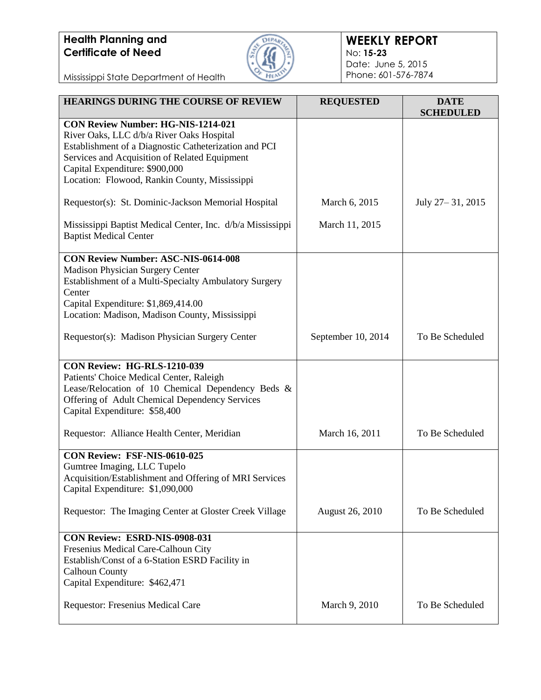

#### **WEEKLY REPORT** No: **15-23** Date: June 5, 2015 Phone: 601-576-7874

| <b>HEARINGS DURING THE COURSE OF REVIEW</b>                                                                                                                                                                                                                                  | <b>REQUESTED</b>       | <b>DATE</b><br><b>SCHEDULED</b> |
|------------------------------------------------------------------------------------------------------------------------------------------------------------------------------------------------------------------------------------------------------------------------------|------------------------|---------------------------------|
| CON Review Number: HG-NIS-1214-021<br>River Oaks, LLC d/b/a River Oaks Hospital<br>Establishment of a Diagnostic Catheterization and PCI<br>Services and Acquisition of Related Equipment<br>Capital Expenditure: \$900,000<br>Location: Flowood, Rankin County, Mississippi |                        |                                 |
| Requestor(s): St. Dominic-Jackson Memorial Hospital                                                                                                                                                                                                                          | March 6, 2015          | July 27 – 31, 2015              |
| Mississippi Baptist Medical Center, Inc. d/b/a Mississippi<br><b>Baptist Medical Center</b>                                                                                                                                                                                  | March 11, 2015         |                                 |
| <b>CON Review Number: ASC-NIS-0614-008</b><br>Madison Physician Surgery Center<br>Establishment of a Multi-Specialty Ambulatory Surgery<br>Center<br>Capital Expenditure: \$1,869,414.00<br>Location: Madison, Madison County, Mississippi                                   |                        |                                 |
| Requestor(s): Madison Physician Surgery Center                                                                                                                                                                                                                               | September 10, 2014     | To Be Scheduled                 |
| <b>CON Review: HG-RLS-1210-039</b><br>Patients' Choice Medical Center, Raleigh<br>Lease/Relocation of 10 Chemical Dependency Beds &<br>Offering of Adult Chemical Dependency Services<br>Capital Expenditure: \$58,400                                                       |                        |                                 |
| Requestor: Alliance Health Center, Meridian                                                                                                                                                                                                                                  | March 16, 2011         | To Be Scheduled                 |
| CON Review: FSF-NIS-0610-025<br>Gumtree Imaging, LLC Tupelo<br>Acquisition/Establishment and Offering of MRI Services<br>Capital Expenditure: \$1,090,000                                                                                                                    |                        |                                 |
| Requestor: The Imaging Center at Gloster Creek Village                                                                                                                                                                                                                       | <b>August 26, 2010</b> | To Be Scheduled                 |
| CON Review: ESRD-NIS-0908-031<br>Fresenius Medical Care-Calhoun City<br>Establish/Const of a 6-Station ESRD Facility in<br><b>Calhoun County</b><br>Capital Expenditure: \$462,471                                                                                           |                        |                                 |
| Requestor: Fresenius Medical Care                                                                                                                                                                                                                                            | March 9, 2010          | To Be Scheduled                 |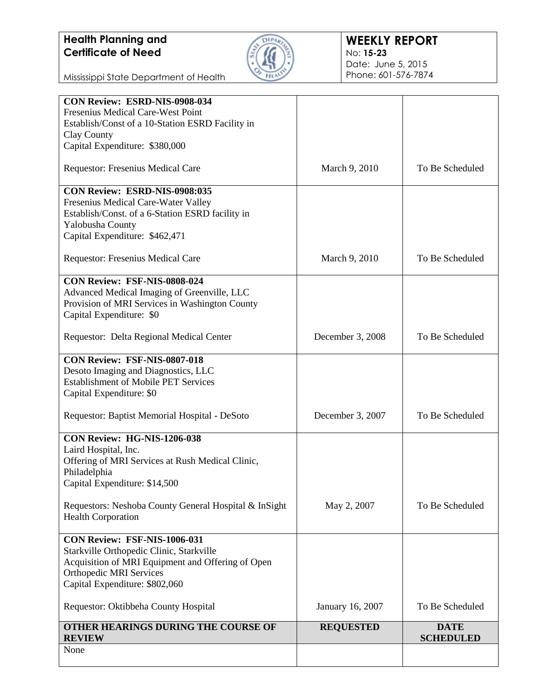

| Fresenius Medical Care-West Point<br>Establish/Const of a 10-Station ESRD Facility in<br>Clay County<br>Capital Expenditure: \$380,000 |                  |                                 |
|----------------------------------------------------------------------------------------------------------------------------------------|------------------|---------------------------------|
|                                                                                                                                        |                  |                                 |
|                                                                                                                                        |                  |                                 |
|                                                                                                                                        |                  |                                 |
| Requestor: Fresenius Medical Care                                                                                                      | March 9, 2010    | To Be Scheduled                 |
| CON Review: ESRD-NIS-0908:035                                                                                                          |                  |                                 |
| Fresenius Medical Care-Water Valley                                                                                                    |                  |                                 |
| Establish/Const. of a 6-Station ESRD facility in                                                                                       |                  |                                 |
| Yalobusha County                                                                                                                       |                  |                                 |
| Capital Expenditure: \$462,471                                                                                                         |                  |                                 |
| Requestor: Fresenius Medical Care                                                                                                      | March 9, 2010    | To Be Scheduled                 |
| CON Review: FSF-NIS-0808-024                                                                                                           |                  |                                 |
| Advanced Medical Imaging of Greenville, LLC                                                                                            |                  |                                 |
| Provision of MRI Services in Washington County                                                                                         |                  |                                 |
| Capital Expenditure: \$0                                                                                                               |                  |                                 |
| Requestor: Delta Regional Medical Center                                                                                               | December 3, 2008 | To Be Scheduled                 |
| CON Review: FSF-NIS-0807-018                                                                                                           |                  |                                 |
| Desoto Imaging and Diagnostics, LLC                                                                                                    |                  |                                 |
| <b>Establishment of Mobile PET Services</b>                                                                                            |                  |                                 |
| Capital Expenditure: \$0                                                                                                               |                  |                                 |
| Requestor: Baptist Memorial Hospital - DeSoto                                                                                          | December 3, 2007 | To Be Scheduled                 |
| CON Review: HG-NIS-1206-038                                                                                                            |                  |                                 |
| Laird Hospital, Inc.                                                                                                                   |                  |                                 |
| Offering of MRI Services at Rush Medical Clinic,                                                                                       |                  |                                 |
| Philadelphia                                                                                                                           |                  |                                 |
| Capital Expenditure: \$14,500                                                                                                          |                  |                                 |
| Requestors: Neshoba County General Hospital & InSight                                                                                  | May 2, 2007      | To Be Scheduled                 |
| <b>Health Corporation</b>                                                                                                              |                  |                                 |
| CON Review: FSF-NIS-1006-031                                                                                                           |                  |                                 |
| Starkville Orthopedic Clinic, Starkville                                                                                               |                  |                                 |
| Acquisition of MRI Equipment and Offering of Open                                                                                      |                  |                                 |
| <b>Orthopedic MRI Services</b>                                                                                                         |                  |                                 |
| Capital Expenditure: \$802,060                                                                                                         |                  |                                 |
| Requestor: Oktibbeha County Hospital                                                                                                   | January 16, 2007 | To Be Scheduled                 |
| OTHER HEARINGS DURING THE COURSE OF<br><b>REVIEW</b>                                                                                   | <b>REQUESTED</b> | <b>DATE</b><br><b>SCHEDULED</b> |